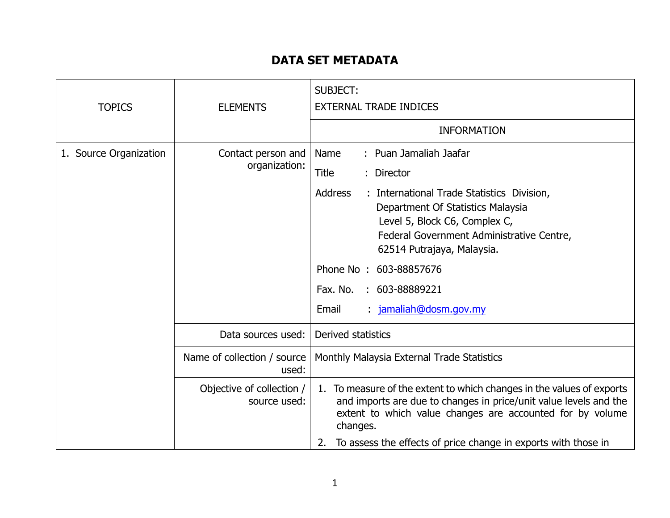## **DATA SET METADATA**

| <b>TOPICS</b>          | <b>ELEMENTS</b>                           | <b>SUBJECT:</b><br><b>EXTERNAL TRADE INDICES</b>                                                                                                                                                                    |
|------------------------|-------------------------------------------|---------------------------------------------------------------------------------------------------------------------------------------------------------------------------------------------------------------------|
|                        |                                           | <b>INFORMATION</b>                                                                                                                                                                                                  |
| 1. Source Organization | Contact person and<br>organization:       | : Puan Jamaliah Jaafar<br>Name                                                                                                                                                                                      |
|                        |                                           | Title<br>: Director                                                                                                                                                                                                 |
|                        |                                           | Address<br>: International Trade Statistics Division,<br>Department Of Statistics Malaysia<br>Level 5, Block C6, Complex C,<br>Federal Government Administrative Centre,<br>62514 Putrajaya, Malaysia.              |
|                        |                                           | Phone No: 603-88857676                                                                                                                                                                                              |
|                        |                                           | Fax. No.<br>: 603-88889221                                                                                                                                                                                          |
|                        |                                           | : jamaliah@dosm.gov.my<br>Email                                                                                                                                                                                     |
|                        | Data sources used:                        | Derived statistics                                                                                                                                                                                                  |
|                        | Name of collection / source<br>used:      | Monthly Malaysia External Trade Statistics                                                                                                                                                                          |
|                        | Objective of collection /<br>source used: | 1. To measure of the extent to which changes in the values of exports<br>and imports are due to changes in price/unit value levels and the<br>extent to which value changes are accounted for by volume<br>changes. |
|                        |                                           | To assess the effects of price change in exports with those in<br>2.                                                                                                                                                |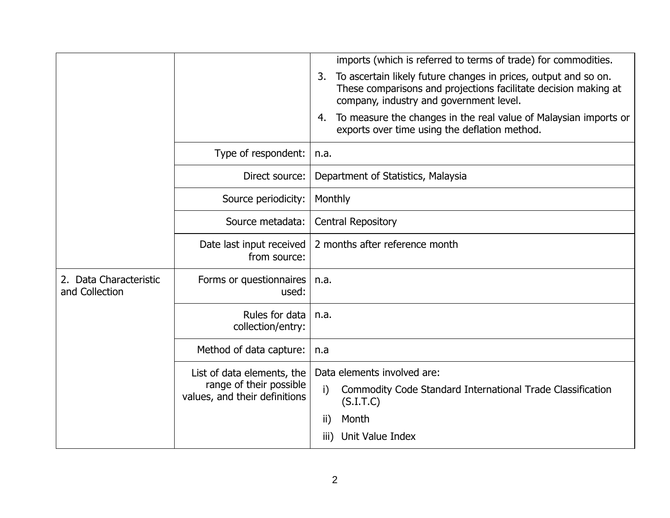|                                          |                                                          | imports (which is referred to terms of trade) for commodities.                                                                                                                      |
|------------------------------------------|----------------------------------------------------------|-------------------------------------------------------------------------------------------------------------------------------------------------------------------------------------|
|                                          |                                                          | To ascertain likely future changes in prices, output and so on.<br>3.<br>These comparisons and projections facilitate decision making at<br>company, industry and government level. |
|                                          |                                                          | To measure the changes in the real value of Malaysian imports or<br>4.<br>exports over time using the deflation method.                                                             |
|                                          | Type of respondent:                                      | n.a.                                                                                                                                                                                |
|                                          | Direct source:                                           | Department of Statistics, Malaysia                                                                                                                                                  |
|                                          | Source periodicity:                                      | Monthly                                                                                                                                                                             |
|                                          | Source metadata:                                         | <b>Central Repository</b>                                                                                                                                                           |
|                                          | Date last input received<br>from source:                 | 2 months after reference month                                                                                                                                                      |
| 2. Data Characteristic<br>and Collection | Forms or questionnaires<br>used:                         | n.a.                                                                                                                                                                                |
|                                          | Rules for data<br>collection/entry:                      | n.a.                                                                                                                                                                                |
|                                          | Method of data capture:                                  | n.a                                                                                                                                                                                 |
|                                          | List of data elements, the                               | Data elements involved are:                                                                                                                                                         |
|                                          | range of their possible<br>values, and their definitions | Commodity Code Standard International Trade Classification<br>i)<br>(S.I.T.C)                                                                                                       |
|                                          |                                                          | Month<br>ii)                                                                                                                                                                        |
|                                          |                                                          | Unit Value Index<br>iii)                                                                                                                                                            |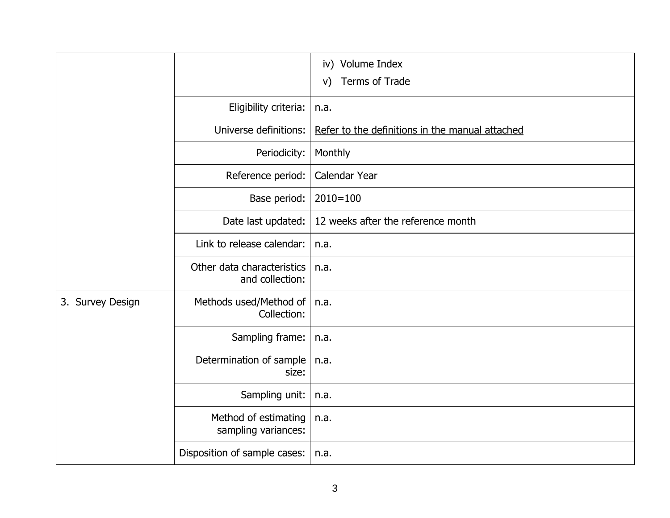|                  |                                               | iv) Volume Index<br>Terms of Trade<br>V)        |
|------------------|-----------------------------------------------|-------------------------------------------------|
|                  | Eligibility criteria:                         | n.a.                                            |
|                  | Universe definitions:                         | Refer to the definitions in the manual attached |
|                  | Periodicity:                                  | Monthly                                         |
|                  | Reference period:                             | Calendar Year                                   |
|                  | Base period:                                  | $2010 = 100$                                    |
|                  | Date last updated:                            | 12 weeks after the reference month              |
|                  | Link to release calendar:                     | n.a.                                            |
|                  | Other data characteristics<br>and collection: | n.a.                                            |
| 3. Survey Design | Methods used/Method of<br>Collection:         | n.a.                                            |
|                  | Sampling frame:                               | n.a.                                            |
|                  | Determination of sample<br>size:              | n.a.                                            |
|                  | Sampling unit:                                | n.a.                                            |
|                  | Method of estimating<br>sampling variances:   | n.a.                                            |
|                  | Disposition of sample cases:                  | n.a.                                            |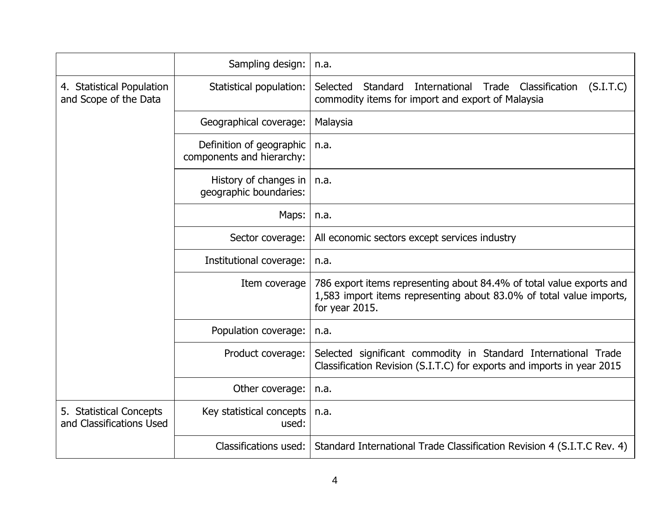|                                                     | Sampling design:                                      | n.a.                                                                                                                                                          |
|-----------------------------------------------------|-------------------------------------------------------|---------------------------------------------------------------------------------------------------------------------------------------------------------------|
| 4. Statistical Population<br>and Scope of the Data  | Statistical population:                               | Selected<br>International<br>Classification<br>Standard<br>Trade<br>(S.I.T.C)<br>commodity items for import and export of Malaysia                            |
|                                                     | Geographical coverage:                                | Malaysia                                                                                                                                                      |
|                                                     | Definition of geographic<br>components and hierarchy: | n.a.                                                                                                                                                          |
|                                                     | History of changes in<br>geographic boundaries:       | n.a.                                                                                                                                                          |
|                                                     | Maps:                                                 | n.a.                                                                                                                                                          |
|                                                     | Sector coverage:                                      | All economic sectors except services industry                                                                                                                 |
|                                                     | Institutional coverage:                               | n.a.                                                                                                                                                          |
|                                                     | Item coverage                                         | 786 export items representing about 84.4% of total value exports and<br>1,583 import items representing about 83.0% of total value imports,<br>for year 2015. |
|                                                     | Population coverage:                                  | n.a.                                                                                                                                                          |
|                                                     | Product coverage:                                     | Selected significant commodity in Standard International Trade<br>Classification Revision (S.I.T.C) for exports and imports in year 2015                      |
|                                                     | Other coverage:                                       | n.a.                                                                                                                                                          |
| 5. Statistical Concepts<br>and Classifications Used | Key statistical concepts<br>used:                     | n.a.                                                                                                                                                          |
|                                                     | Classifications used:                                 | Standard International Trade Classification Revision 4 (S.I.T.C Rev. 4)                                                                                       |